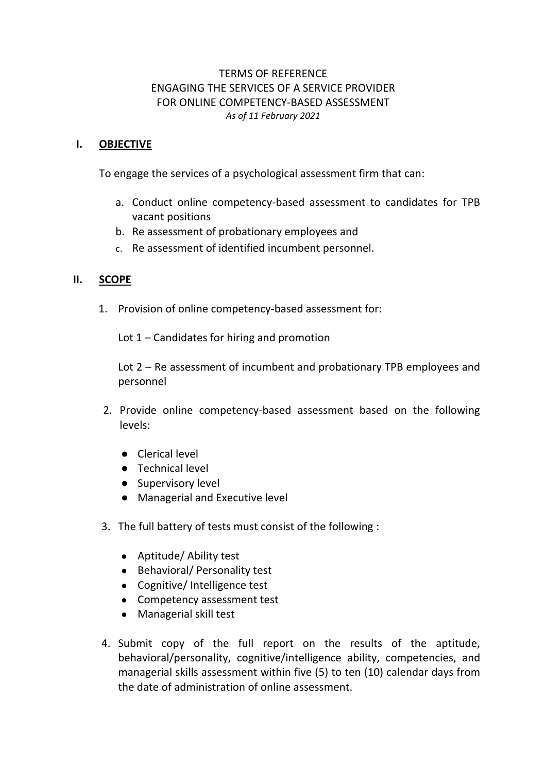# TERMS OF REFERENCE ENGAGING THE SERVICES OF A SERVICE PROVIDER FOR ONLINE COMPETENCY-BASED ASSESSMENT *As of 11 February 2021*

# **I. OBJECTIVE**

To engage the services of a psychological assessment firm that can:

- a. Conduct online competency-based assessment to candidates for TPB vacant positions
- b. Re assessment of probationary employees and
- c. Re assessment of identified incumbent personnel.

## **II. SCOPE**

1. Provision of online competency-based assessment for:

Lot 1 – Candidates for hiring and promotion

Lot 2 – Re assessment of incumbent and probationary TPB employees and personnel

- 2. Provide online competency-based assessment based on the following levels:
	- Clerical level
	- Technical level
	- Supervisory level
	- Managerial and Executive level
- 3. The full battery of tests must consist of the following :
	- Aptitude/ Ability test
	- Behavioral/ Personality test
	- Cognitive/ Intelligence test
	- Competency assessment test
	- Managerial skill test
- 4. Submit copy of the full report on the results of the aptitude, behavioral/personality, cognitive/intelligence ability, competencies, and managerial skills assessment within five (5) to ten (10) calendar days from the date of administration of online assessment.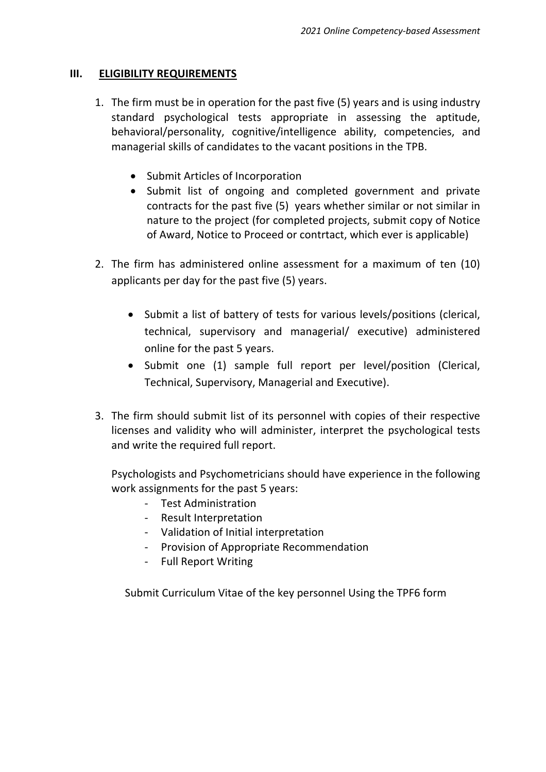## **III. ELIGIBILITY REQUIREMENTS**

- 1. The firm must be in operation for the past five (5) years and is using industry standard psychological tests appropriate in assessing the aptitude, behavioral/personality, cognitive/intelligence ability, competencies, and managerial skills of candidates to the vacant positions in the TPB.
	- Submit Articles of Incorporation
	- Submit list of ongoing and completed government and private contracts for the past five (5) years whether similar or not similar in nature to the project (for completed projects, submit copy of Notice of Award, Notice to Proceed or contrtact, which ever is applicable)
- 2. The firm has administered online assessment for a maximum of ten (10) applicants per day for the past five (5) years.
	- Submit a list of battery of tests for various levels/positions (clerical, technical, supervisory and managerial/ executive) administered online for the past 5 years.
	- Submit one (1) sample full report per level/position (Clerical, Technical, Supervisory, Managerial and Executive).
- 3. The firm should submit list of its personnel with copies of their respective licenses and validity who will administer, interpret the psychological tests and write the required full report.

Psychologists and Psychometricians should have experience in the following work assignments for the past 5 years:

- Test Administration
- Result Interpretation
- Validation of Initial interpretation
- Provision of Appropriate Recommendation
- Full Report Writing

Submit Curriculum Vitae of the key personnel Using the TPF6 form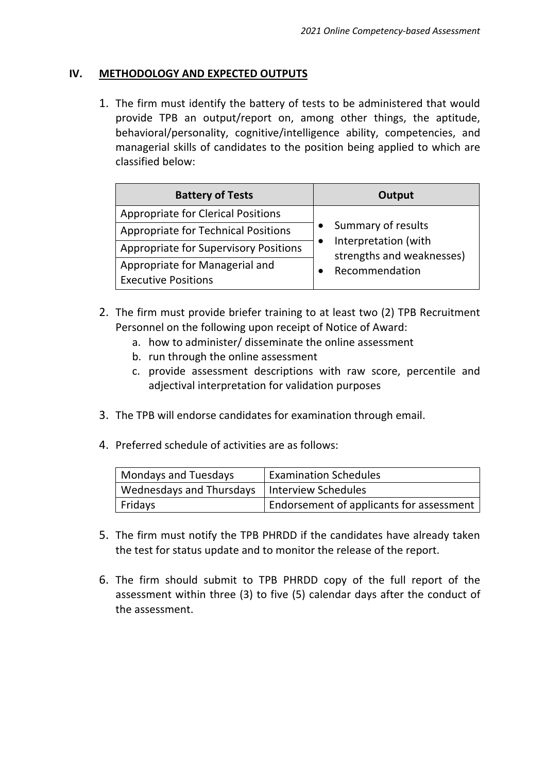## **IV. METHODOLOGY AND EXPECTED OUTPUTS**

1. The firm must identify the battery of tests to be administered that would provide TPB an output/report on, among other things, the aptitude, behavioral/personality, cognitive/intelligence ability, competencies, and managerial skills of candidates to the position being applied to which are classified below:

| <b>Battery of Tests</b>                                      | Output                                                                                    |
|--------------------------------------------------------------|-------------------------------------------------------------------------------------------|
| <b>Appropriate for Clerical Positions</b>                    | Summary of results<br>Interpretation (with<br>strengths and weaknesses)<br>Recommendation |
| <b>Appropriate for Technical Positions</b>                   |                                                                                           |
| <b>Appropriate for Supervisory Positions</b>                 |                                                                                           |
| Appropriate for Managerial and<br><b>Executive Positions</b> |                                                                                           |

- 2. The firm must provide briefer training to at least two (2) TPB Recruitment Personnel on the following upon receipt of Notice of Award:
	- a. how to administer/ disseminate the online assessment
	- b. run through the online assessment
	- c. provide assessment descriptions with raw score, percentile and adjectival interpretation for validation purposes
- 3. The TPB will endorse candidates for examination through email.
- 4. Preferred schedule of activities are as follows:

| Mondays and Tuesdays                           | <b>Examination Schedules</b>             |
|------------------------------------------------|------------------------------------------|
| Wednesdays and Thursdays   Interview Schedules |                                          |
| Fridays                                        | Endorsement of applicants for assessment |

- 5. The firm must notify the TPB PHRDD if the candidates have already taken the test for status update and to monitor the release of the report.
- 6. The firm should submit to TPB PHRDD copy of the full report of the assessment within three (3) to five (5) calendar days after the conduct of the assessment.